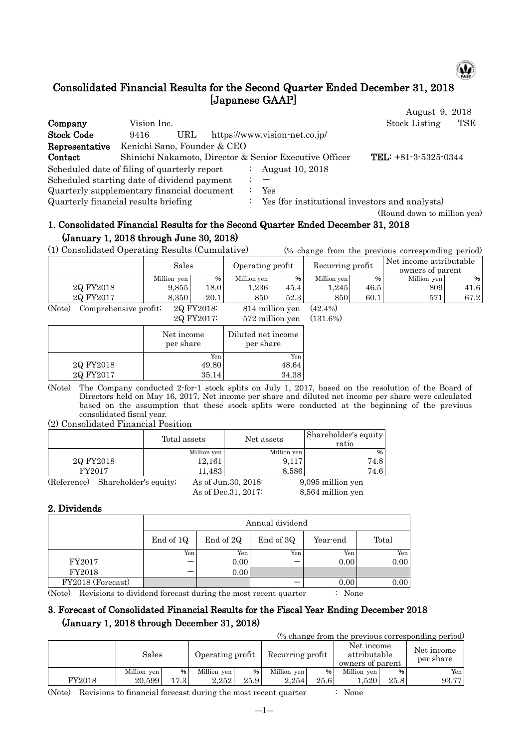

(Round down to million yen)

# Consolidated Financial Results for the Second Quarter Ended December 31, 2018 [Japanese GAAP]

|                                              |                             |     |    |                                                        | August 9, 2018         |            |
|----------------------------------------------|-----------------------------|-----|----|--------------------------------------------------------|------------------------|------------|
| Company                                      | Vision Inc.                 |     |    |                                                        | <b>Stock Listing</b>   | <b>TSE</b> |
| <b>Stock Code</b>                            | 9416                        | URL |    | https://www.vision-net.co.jp/                          |                        |            |
| Representative                               | Kenichi Sano, Founder & CEO |     |    |                                                        |                        |            |
| Contact                                      |                             |     |    | Shinichi Nakamoto, Director & Senior Executive Officer | TEL: $+81-3-5325-0344$ |            |
| Scheduled date of filing of quarterly report |                             |     |    | August 10, 2018                                        |                        |            |
| Scheduled starting date of dividend payment  |                             |     |    |                                                        |                        |            |
| Quarterly supplementary financial document   |                             |     |    | Yes                                                    |                        |            |
| Quarterly financial results briefing         |                             |     | ÷. | Yes (for institutional investors and analysts)         |                        |            |

## 1. Consolidated Financial Results for the Second Quarter Ended December 31, 2018 (January 1, 2018 through June 30, 2018)

(1) Consolidated Operating Results (Cumulative) (% change from the previous corresponding period)

|                                                     | Sales       |                            | Operating profit |                  | Recurring profit |      | Net income attributable<br>owners of parent |      |
|-----------------------------------------------------|-------------|----------------------------|------------------|------------------|------------------|------|---------------------------------------------|------|
|                                                     | Million yen | %                          | Million yen      | %                | Million yen      | %    | Million yen                                 | %    |
| 2Q FY2018                                           | 9.855       | 18.0                       | 0.236            | 45.4             | .245             | 46.5 | 809                                         | 41.6 |
| 2Q FY2017                                           | 8.350       | 20.1                       | 850              | 52.3             | 850              | 60.1 | 571                                         | 67.2 |
| $(\mathbf{X}^T, \mathbf{Y})$<br>$\alpha$ 1 $\alpha$ |             | $\Omega$ $\Omega$ $\Omega$ |                  | $0.1111$ $1.111$ | (10.10)          |      |                                             |      |

(Note) Comprehensive profit;  $2Q FY2018$ : 814 million yen (42.4%)<br> $2Q FY2017$ : 572 million yen (131.6%) 572 million yen (131.6%)

|           |                         | $0.4$ miniper vent              |
|-----------|-------------------------|---------------------------------|
|           | Net income<br>per share | Diluted net income<br>per share |
|           | Yen                     | Yen                             |
| 2Q FY2018 | 49.80                   | 48.64                           |
| 2Q FY2017 | 35.14                   | 34.38                           |
|           |                         |                                 |

(Note) The Company conducted 2-for-1 stock splits on July 1, 2017, based on the resolution of the Board of Directors held on May 16, 2017. Net income per share and diluted net income per share were calculated based on the assumption that these stock splits were conducted at the beginning of the previous consolidated fiscal year.

#### (2) Consolidated Financial Position

|           |                                   | Total assets | Net assets           |             | Shareholder's equity<br>ratio |
|-----------|-----------------------------------|--------------|----------------------|-------------|-------------------------------|
|           |                                   | Million yen  |                      | Million yen | %                             |
| 2Q FY2018 |                                   | 12,161       |                      | 9,117       | 74.8                          |
| FY2017    |                                   | 11,483       |                      | 8,586       | 74.6                          |
|           | (Reference) Shareholder's equity; |              | As of Jun. 30, 2018: |             | 9,095 million yen             |
|           |                                   |              | As of Dec. 31, 2017: |             | 8,564 million yen             |

### 2. Dividends

|                   |           | Annual dividend |           |          |       |  |  |  |  |  |  |
|-------------------|-----------|-----------------|-----------|----------|-------|--|--|--|--|--|--|
|                   | End of 1Q | End of 2Q       | End of 3Q | Year-end | Total |  |  |  |  |  |  |
|                   | Yen       | Yen             | Yen       | Yen      | Yen   |  |  |  |  |  |  |
| FY2017            |           | 0.00            |           | 0.00     | 0.00  |  |  |  |  |  |  |
| FY2018            |           | 0.00            |           |          |       |  |  |  |  |  |  |
| FY2018 (Forecast) |           |                 |           | 0.00     | 0.00  |  |  |  |  |  |  |

(Note) Revisions to dividend forecast during the most recent quarter : None

## 3. Forecast of Consolidated Financial Results for the Fiscal Year Ending December 2018 (January 1, 2018 through December 31, 2018)

(% change from the previous corresponding period)

|        | Sales       |        | Operating profit |      | Recurring profit |      | Net income<br>attributable<br>owners of parent |      | Net income<br>per share |
|--------|-------------|--------|------------------|------|------------------|------|------------------------------------------------|------|-------------------------|
|        | Million ven | %      | Million yen      | %    | Million yen      | %    | Million yen                                    | $\%$ | Yen                     |
| FY2018 | 20.599      | L7.3 I | 2.252            | 25.9 | 2.254            | 25.6 | .520                                           | 25.8 | 93.77                   |

(Note) Revisions to financial forecast during the most recent quarter : None